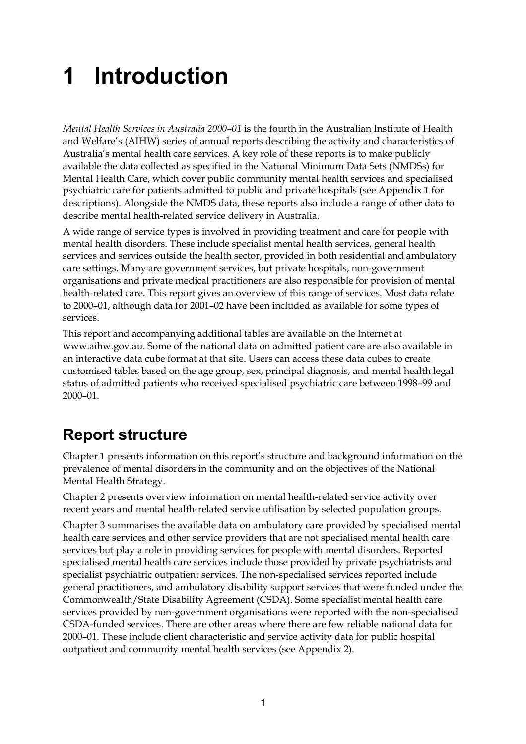# **1 Introduction**

*Mental Health Services in Australia 2000–01* is the fourth in the Australian Institute of Health and Welfare's (AIHW) series of annual reports describing the activity and characteristics of Australia's mental health care services. A key role of these reports is to make publicly available the data collected as specified in the National Minimum Data Sets (NMDSs) for Mental Health Care, which cover public community mental health services and specialised psychiatric care for patients admitted to public and private hospitals (see Appendix 1 for descriptions). Alongside the NMDS data, these reports also include a range of other data to describe mental health-related service delivery in Australia.

A wide range of service types is involved in providing treatment and care for people with mental health disorders. These include specialist mental health services, general health services and services outside the health sector, provided in both residential and ambulatory care settings. Many are government services, but private hospitals, non-government organisations and private medical practitioners are also responsible for provision of mental health-related care. This report gives an overview of this range of services. Most data relate to 2000–01, although data for 2001–02 have been included as available for some types of services.

This report and accompanying additional tables are available on the Internet at www.aihw.gov.au. Some of the national data on admitted patient care are also available in an interactive data cube format at that site. Users can access these data cubes to create customised tables based on the age group, sex, principal diagnosis, and mental health legal status of admitted patients who received specialised psychiatric care between 1998–99 and 2000–01.

## **Report structure**

Chapter 1 presents information on this report's structure and background information on the prevalence of mental disorders in the community and on the objectives of the National Mental Health Strategy.

Chapter 2 presents overview information on mental health-related service activity over recent years and mental health-related service utilisation by selected population groups.

Chapter 3 summarises the available data on ambulatory care provided by specialised mental health care services and other service providers that are not specialised mental health care services but play a role in providing services for people with mental disorders. Reported specialised mental health care services include those provided by private psychiatrists and specialist psychiatric outpatient services. The non-specialised services reported include general practitioners, and ambulatory disability support services that were funded under the Commonwealth/State Disability Agreement (CSDA). Some specialist mental health care services provided by non-government organisations were reported with the non-specialised CSDA-funded services. There are other areas where there are few reliable national data for 2000–01. These include client characteristic and service activity data for public hospital outpatient and community mental health services (see Appendix 2).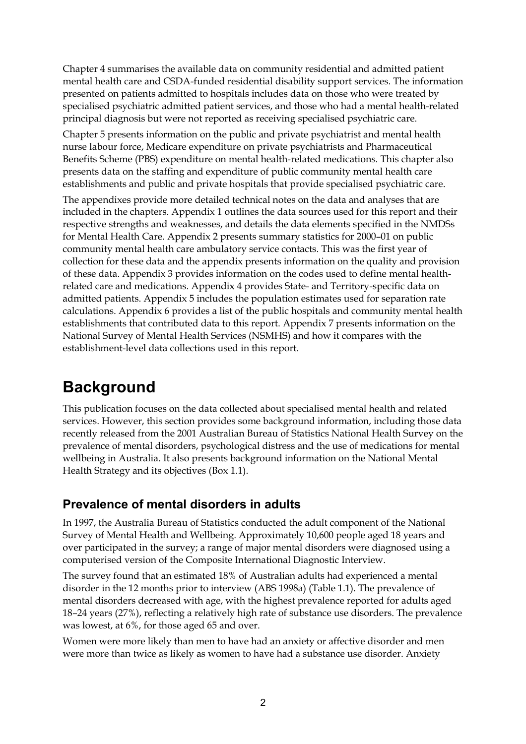Chapter 4 summarises the available data on community residential and admitted patient mental health care and CSDA-funded residential disability support services. The information presented on patients admitted to hospitals includes data on those who were treated by specialised psychiatric admitted patient services, and those who had a mental health-related principal diagnosis but were not reported as receiving specialised psychiatric care.

Chapter 5 presents information on the public and private psychiatrist and mental health nurse labour force, Medicare expenditure on private psychiatrists and Pharmaceutical Benefits Scheme (PBS) expenditure on mental health-related medications. This chapter also presents data on the staffing and expenditure of public community mental health care establishments and public and private hospitals that provide specialised psychiatric care.

The appendixes provide more detailed technical notes on the data and analyses that are included in the chapters. Appendix 1 outlines the data sources used for this report and their respective strengths and weaknesses, and details the data elements specified in the NMDSs for Mental Health Care. Appendix 2 presents summary statistics for 2000–01 on public community mental health care ambulatory service contacts. This was the first year of collection for these data and the appendix presents information on the quality and provision of these data. Appendix 3 provides information on the codes used to define mental healthrelated care and medications. Appendix 4 provides State- and Territory-specific data on admitted patients. Appendix 5 includes the population estimates used for separation rate calculations. Appendix 6 provides a list of the public hospitals and community mental health establishments that contributed data to this report. Appendix 7 presents information on the National Survey of Mental Health Services (NSMHS) and how it compares with the establishment-level data collections used in this report.

## **Background**

This publication focuses on the data collected about specialised mental health and related services. However, this section provides some background information, including those data recently released from the 2001 Australian Bureau of Statistics National Health Survey on the prevalence of mental disorders, psychological distress and the use of medications for mental wellbeing in Australia. It also presents background information on the National Mental Health Strategy and its objectives (Box 1.1).

### **Prevalence of mental disorders in adults**

In 1997, the Australia Bureau of Statistics conducted the adult component of the National Survey of Mental Health and Wellbeing. Approximately 10,600 people aged 18 years and over participated in the survey; a range of major mental disorders were diagnosed using a computerised version of the Composite International Diagnostic Interview.

The survey found that an estimated 18% of Australian adults had experienced a mental disorder in the 12 months prior to interview (ABS 1998a) (Table 1.1). The prevalence of mental disorders decreased with age, with the highest prevalence reported for adults aged 18–24 years (27%), reflecting a relatively high rate of substance use disorders. The prevalence was lowest, at 6%, for those aged 65 and over.

Women were more likely than men to have had an anxiety or affective disorder and men were more than twice as likely as women to have had a substance use disorder. Anxiety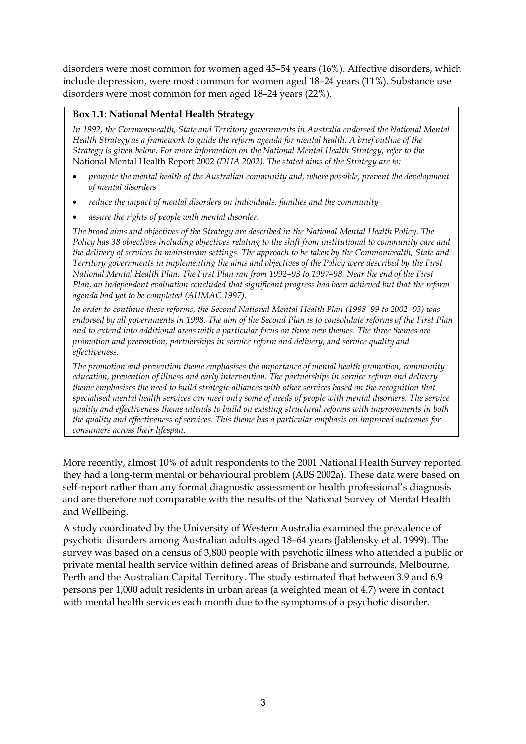disorders were most common for women aged 45–54 years (16%). Affective disorders, which include depression, were most common for women aged 18–24 years (11%). Substance use disorders were most common for men aged 18–24 years (22%).

#### **Box 1.1: National Mental Health Strategy**

*In 1992, the Commonwealth, State and Territory governments in Australia endorsed the National Mental Health Strategy as a framework to guide the reform agenda for mental health. A brief outline of the Strategy is given below. For more information on the National Mental Health Strategy, refer to the* National Mental Health Report 2002 *(DHA 2002). The stated aims of the Strategy are to:*

- *promote the mental health of the Australian community and, where possible, prevent the development of mental disorders*
- *reduce the impact of mental disorders on individuals, families and the community*
- *assure the rights of people with mental disorder.*

*The broad aims and objectives of the Strategy are described in the National Mental Health Policy. The Policy has 38 objectives including objectives relating to the shift from institutional to community care and the delivery of services in mainstream settings. The approach to be taken by the Commonwealth, State and Territory governments in implementing the aims and objectives of the Policy were described by the First National Mental Health Plan. The First Plan ran from 1992–93 to 1997–98. Near the end of the First Plan, an independent evaluation concluded that significant progress had been achieved but that the reform agenda had yet to be completed (AHMAC 1997).*

*In order to continue these reforms, the Second National Mental Health Plan (1998–99 to 2002–03) was endorsed by all governments in 1998. The aim of the Second Plan is to consolidate reforms of the First Plan and to extend into additional areas with a particular focus on three new themes. The three themes are promotion and prevention, partnerships in service reform and delivery, and service quality and effectiveness.*

*The promotion and prevention theme emphasises the importance of mental health promotion, community education, prevention of illness and early intervention. The partnerships in service reform and delivery theme emphasises the need to build strategic alliances with other services based on the recognition that specialised mental health services can meet only some of needs of people with mental disorders. The service quality and effectiveness theme intends to build on existing structural reforms with improvements in both the quality and effectiveness of services. This theme has a particular emphasis on improved outcomes for consumers across their lifespan.*

More recently, almost 10% of adult respondents to the 2001 National Health Survey reported they had a long-term mental or behavioural problem (ABS 2002a). These data were based on self-report rather than any formal diagnostic assessment or health professional's diagnosis and are therefore not comparable with the results of the National Survey of Mental Health and Wellbeing.

A study coordinated by the University of Western Australia examined the prevalence of psychotic disorders among Australian adults aged 18–64 years (Jablensky et al. 1999). The survey was based on a census of 3,800 people with psychotic illness who attended a public or private mental health service within defined areas of Brisbane and surrounds, Melbourne, Perth and the Australian Capital Territory. The study estimated that between 3.9 and 6.9 persons per 1,000 adult residents in urban areas (a weighted mean of 4.7) were in contact with mental health services each month due to the symptoms of a psychotic disorder.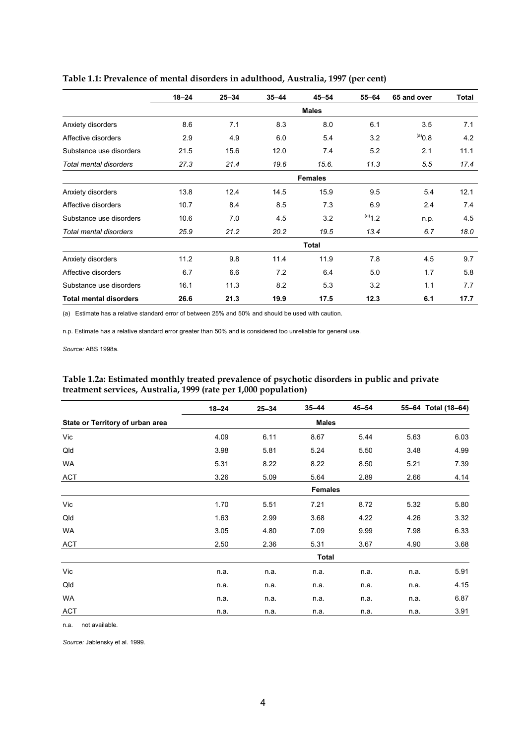|                               | $18 - 24$ | $25 - 34$ | $35 - 44$ | $45 - 54$      | $55 - 64$ | 65 and over  | Total |
|-------------------------------|-----------|-----------|-----------|----------------|-----------|--------------|-------|
|                               |           |           |           | <b>Males</b>   |           |              |       |
| Anxiety disorders             | 8.6       | 7.1       | 8.3       | 8.0            | 6.1       | 3.5          | 7.1   |
| Affective disorders           | 2.9       | 4.9       | 6.0       | 5.4            | 3.2       | $(8.0^{(a)}$ | 4.2   |
| Substance use disorders       | 21.5      | 15.6      | 12.0      | 7.4            | 5.2       | 2.1          | 11.1  |
| Total mental disorders        | 27.3      | 21.4      | 19.6      | 15.6.          | 11.3      | 5.5          | 17.4  |
|                               |           |           |           | <b>Females</b> |           |              |       |
| Anxiety disorders             | 13.8      | 12.4      | 14.5      | 15.9           | 9.5       | 5.4          | 12.1  |
| Affective disorders           | 10.7      | 8.4       | 8.5       | 7.3            | 6.9       | 2.4          | 7.4   |
| Substance use disorders       | 10.6      | 7.0       | 4.5       | 3.2            | $(a)$ 1.2 | n.p.         | 4.5   |
| Total mental disorders        | 25.9      | 21.2      | 20.2      | 19.5           | 13.4      | 6.7          | 18.0  |
|                               |           |           |           | <b>Total</b>   |           |              |       |
| Anxiety disorders             | 11.2      | 9.8       | 11.4      | 11.9           | 7.8       | 4.5          | 9.7   |
| Affective disorders           | 6.7       | 6.6       | 7.2       | 6.4            | 5.0       | 1.7          | 5.8   |
| Substance use disorders       | 16.1      | 11.3      | 8.2       | 5.3            | 3.2       | 1.1          | 7.7   |
| <b>Total mental disorders</b> | 26.6      | 21.3      | 19.9      | 17.5           | 12.3      | 6.1          | 17.7  |

#### **Table 1.1: Prevalence of mental disorders in adulthood, Australia, 1997 (per cent)**

(a) Estimate has a relative standard error of between 25% and 50% and should be used with caution.

n.p. Estimate has a relative standard error greater than 50% and is considered too unreliable for general use.

*Source:* ABS 1998a.

#### **Table 1.2a: Estimated monthly treated prevalence of psychotic disorders in public and private treatment services, Australia, 1999 (rate per 1,000 population)**

|                                  | $18 - 24$ | $25 - 34$ | $35 - 44$      | $45 - 54$ |      | 55-64 Total (18-64) |  |
|----------------------------------|-----------|-----------|----------------|-----------|------|---------------------|--|
| State or Territory of urban area |           |           | <b>Males</b>   |           |      |                     |  |
| Vic                              | 4.09      | 6.11      | 8.67           | 5.44      | 5.63 | 6.03                |  |
| Qld                              | 3.98      | 5.81      | 5.24           | 5.50      | 3.48 | 4.99                |  |
| WA                               | 5.31      | 8.22      | 8.22           | 8.50      | 5.21 | 7.39                |  |
| ACT                              | 3.26      | 5.09      | 5.64           | 2.89      | 2.66 | 4.14                |  |
|                                  |           |           | <b>Females</b> |           |      |                     |  |
| Vic                              | 1.70      | 5.51      | 7.21           | 8.72      | 5.32 | 5.80                |  |
| Qld                              | 1.63      | 2.99      | 3.68           | 4.22      | 4.26 | 3.32                |  |
| WA                               | 3.05      | 4.80      | 7.09           | 9.99      | 7.98 | 6.33                |  |
| <b>ACT</b>                       | 2.50      | 2.36      | 5.31           | 3.67      | 4.90 | 3.68                |  |
|                                  |           |           | <b>Total</b>   |           |      |                     |  |
| Vic                              | n.a.      | n.a.      | n.a.           | n.a.      | n.a. | 5.91                |  |
| Qld                              | n.a.      | n.a.      | n.a.           | n.a.      | n.a. | 4.15                |  |
| WA                               | n.a.      | n.a.      | n.a.           | n.a.      | n.a. | 6.87                |  |
| <b>ACT</b>                       | n.a.      | n.a.      | n.a.           | n.a.      | n.a. | 3.91                |  |

n.a. not available*.*

*Source:* Jablensky et al. 1999.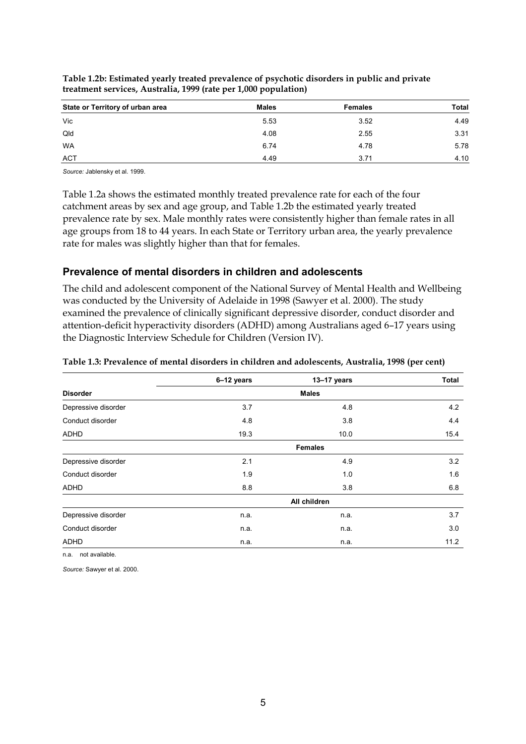| State or Territory of urban area | <b>Males</b> | <b>Females</b> | <b>Total</b> |
|----------------------------------|--------------|----------------|--------------|
| Vic                              | 5.53         | 3.52           | 4.49         |
| Qld                              | 4.08         | 2.55           | 3.31         |
| <b>WA</b>                        | 6.74         | 4.78           | 5.78         |
| <b>ACT</b>                       | 4.49         | 3.71           | 4.10         |

**Table 1.2b: Estimated yearly treated prevalence of psychotic disorders in public and private treatment services, Australia, 1999 (rate per 1,000 population)**

*Source:* Jablensky et al. 1999.

Table 1.2a shows the estimated monthly treated prevalence rate for each of the four catchment areas by sex and age group, and Table 1.2b the estimated yearly treated prevalence rate by sex. Male monthly rates were consistently higher than female rates in all age groups from 18 to 44 years. In each State or Territory urban area, the yearly prevalence rate for males was slightly higher than that for females.

#### **Prevalence of mental disorders in children and adolescents**

The child and adolescent component of the National Survey of Mental Health and Wellbeing was conducted by the University of Adelaide in 1998 (Sawyer et al. 2000). The study examined the prevalence of clinically significant depressive disorder, conduct disorder and attention-deficit hyperactivity disorders (ADHD) among Australians aged 6–17 years using the Diagnostic Interview Schedule for Children (Version IV).

|                     | 6-12 years | 13-17 years    | <b>Total</b> |  |
|---------------------|------------|----------------|--------------|--|
| <b>Disorder</b>     |            | <b>Males</b>   |              |  |
| Depressive disorder | 3.7        | 4.8            | 4.2          |  |
| Conduct disorder    | 4.8        | 3.8            | 4.4          |  |
| <b>ADHD</b>         | 19.3       | 10.0           | 15.4         |  |
|                     |            | <b>Females</b> |              |  |
| Depressive disorder | 2.1        | 4.9            | 3.2          |  |
| Conduct disorder    | 1.9        | 1.0            | 1.6          |  |
| <b>ADHD</b>         | 8.8        | 3.8            | 6.8          |  |
|                     |            | All children   |              |  |
| Depressive disorder | n.a.       | n.a.           | 3.7          |  |
| Conduct disorder    | n.a.       | n.a.           | 3.0          |  |
| <b>ADHD</b>         | n.a.       | n.a.           | 11.2         |  |

#### **Table 1.3: Prevalence of mental disorders in children and adolescents, Australia, 1998 (per cent)**

n.a. not available.

*Source:* Sawyer et al. 2000.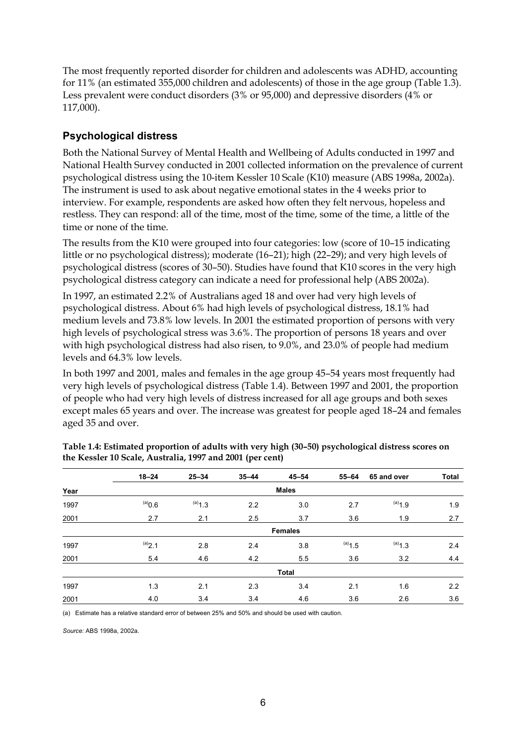The most frequently reported disorder for children and adolescents was ADHD, accounting for 11% (an estimated 355,000 children and adolescents) of those in the age group (Table 1.3). Less prevalent were conduct disorders (3% or 95,000) and depressive disorders (4% or 117,000).

#### **Psychological distress**

Both the National Survey of Mental Health and Wellbeing of Adults conducted in 1997 and National Health Survey conducted in 2001 collected information on the prevalence of current psychological distress using the 10-item Kessler 10 Scale (K10) measure (ABS 1998a, 2002a). The instrument is used to ask about negative emotional states in the 4 weeks prior to interview. For example, respondents are asked how often they felt nervous, hopeless and restless. They can respond: all of the time, most of the time, some of the time, a little of the time or none of the time.

The results from the K10 were grouped into four categories: low (score of 10–15 indicating little or no psychological distress); moderate (16–21); high (22–29); and very high levels of psychological distress (scores of 30–50). Studies have found that K10 scores in the very high psychological distress category can indicate a need for professional help (ABS 2002a).

In 1997, an estimated 2.2% of Australians aged 18 and over had very high levels of psychological distress. About 6% had high levels of psychological distress, 18.1% had medium levels and 73.8% low levels. In 2001 the estimated proportion of persons with very high levels of psychological stress was 3.6%. The proportion of persons 18 years and over with high psychological distress had also risen, to 9.0%, and 23.0% of people had medium levels and 64.3% low levels.

In both 1997 and 2001, males and females in the age group 45–54 years most frequently had very high levels of psychological distress (Table 1.4). Between 1997 and 2001, the proportion of people who had very high levels of distress increased for all age groups and both sexes except males 65 years and over. The increase was greatest for people aged 18–24 and females aged 35 and over.

|      | $18 - 24$    | $25 - 34$ | $35 - 44$ | $45 - 54$      | $55 - 64$ | 65 and over          | <b>Total</b> |
|------|--------------|-----------|-----------|----------------|-----------|----------------------|--------------|
| Year | <b>Males</b> |           |           |                |           |                      |              |
| 1997 | $^{(a)}0.6$  | $(a)$ 1.3 | 2.2       | 3.0            | 2.7       | $(a)$ <sub>1.9</sub> | 1.9          |
| 2001 | 2.7          | 2.1       | 2.5       | 3.7            | 3.6       | 1.9                  | 2.7          |
|      |              |           |           | <b>Females</b> |           |                      |              |
| 1997 | (a)2.1       | 2.8       | 2.4       | 3.8            | $(a)$ 1.5 | $(a)$ 1.3            | 2.4          |
| 2001 | 5.4          | 4.6       | 4.2       | 5.5            | 3.6       | 3.2                  | 4.4          |
|      |              |           |           | <b>Total</b>   |           |                      |              |
| 1997 | 1.3          | 2.1       | 2.3       | 3.4            | 2.1       | 1.6                  | 2.2          |
| 2001 | 4.0          | 3.4       | 3.4       | 4.6            | 3.6       | 2.6                  | 3.6          |

| Table 1.4: Estimated proportion of adults with very high (30-50) psychological distress scores on |  |
|---------------------------------------------------------------------------------------------------|--|
| the Kessler 10 Scale, Australia, 1997 and 2001 (per cent)                                         |  |

(a) Estimate has a relative standard error of between 25% and 50% and should be used with caution.

*Source:* ABS 1998a, 2002a.